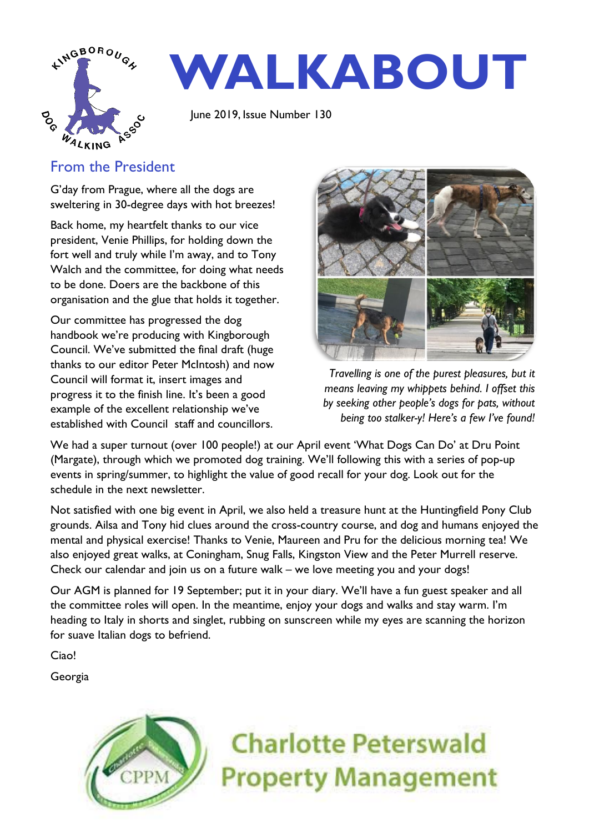

# **WALKABOUT**

June 2019, Issue Number 130

## From the President

G'day from Prague, where all the dogs are sweltering in 30-degree days with hot breezes!

Back home, my heartfelt thanks to our vice president, Venie Phillips, for holding down the fort well and truly while I'm away, and to Tony Walch and the committee, for doing what needs to be done. Doers are the backbone of this organisation and the glue that holds it together.

Our committee has progressed the dog handbook we're producing with Kingborough Council. We've submitted the final draft (huge thanks to our editor Peter McIntosh) and now Council will format it, insert images and progress it to the finish line. It's been a good example of the excellent relationship we've established with Council staff and councillors.



*Travelling is one of the purest pleasures, but it means leaving my whippets behind. I offset this by seeking other people's dogs for pats, without being too stalker-y! Here's a few I've found!*

We had a super turnout (over 100 people!) at our April event 'What Dogs Can Do' at Dru Point (Margate), through which we promoted dog training. We'll following this with a series of pop-up events in spring/summer, to highlight the value of good recall for your dog. Look out for the schedule in the next newsletter.

Not satisfied with one big event in April, we also held a treasure hunt at the Huntingfield Pony Club grounds. Ailsa and Tony hid clues around the cross-country course, and dog and humans enjoyed the mental and physical exercise! Thanks to Venie, Maureen and Pru for the delicious morning tea! We also enjoyed great walks, at Coningham, Snug Falls, Kingston View and the Peter Murrell reserve. Check our calendar and join us on a future walk – we love meeting you and your dogs!

Our AGM is planned for 19 September; put it in your diary. We'll have a fun guest speaker and all the committee roles will open. In the meantime, enjoy your dogs and walks and stay warm. I'm heading to Italy in shorts and singlet, rubbing on sunscreen while my eyes are scanning the horizon for suave Italian dogs to befriend.

Ciao!

Georgia



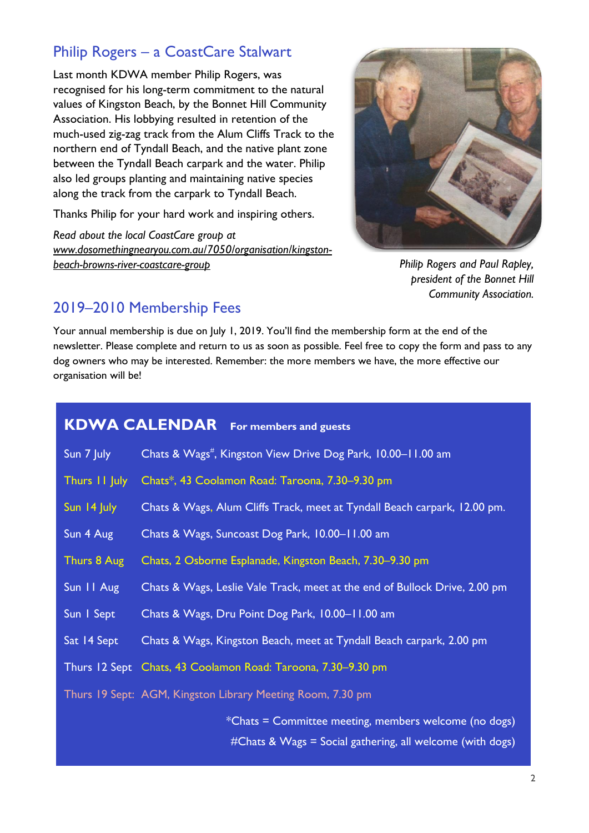## Philip Rogers – a CoastCare Stalwart

Last month KDWA member Philip Rogers, was recognised for his long-term commitment to the natural values of Kingston Beach, by the Bonnet Hill Community Association. His lobbying resulted in retention of the much-used zig-zag track from the Alum Cliffs Track to the northern end of Tyndall Beach, and the native plant zone between the Tyndall Beach carpark and the water. Philip also led groups planting and maintaining native species along the track from the carpark to Tyndall Beach.

Thanks Philip for your hard work and inspiring others.

*Read about the local CoastCare group at [www.dosomethingnearyou.com.au/7050/organisation/kingston](http://www.dosomethingnearyou.com.au/7050/organisation/kingston-beach-browns-river-coastcare-group)[beach-browns-river-coastcare-group](http://www.dosomethingnearyou.com.au/7050/organisation/kingston-beach-browns-river-coastcare-group)*



*Philip Rogers and Paul Rapley, president of the Bonnet Hill Community Association.*

## 2019–2010 Membership Fees

Your annual membership is due on July 1, 2019. You'll find the membership form at the end of the newsletter. Please complete and return to us as soon as possible. Feel free to copy the form and pass to any dog owners who may be interested. Remember: the more members we have, the more effective our organisation will be!

## **KDWA CALENDAR For members and guests** Sun 7 July Chats & Wags<sup>#</sup>, Kingston View Drive Dog Park, 10.00–11.00 am Thurs 11 July Chats\*, 43 Coolamon Road: Taroona, 7.30–9.30 pm Sun 14 July Chats & Wags, Alum Cliffs Track, meet at Tyndall Beach carpark, 12.00 pm. Sun 4 Aug Chats & Wags, Suncoast Dog Park, 10.00–11.00 am Thurs 8 Aug Chats, 2 Osborne Esplanade, Kingston Beach, 7.30–9.30 pm Sun 11 Aug Chats & Wags, Leslie Vale Track, meet at the end of Bullock Drive, 2.00 pm Sun 1 Sept Chats & Wags, Dru Point Dog Park, 10.00–11.00 am Sat 14 Sept Chats & Wags, Kingston Beach, meet at Tyndall Beach carpark, 2.00 pm Thurs 12 Sept Chats, 43 Coolamon Road: Taroona, 7.30–9.30 pm Thurs 19 Sept: AGM, Kingston Library Meeting Room, 7.30 pm \*Chats = Committee meeting, members welcome (no dogs) #Chats & Wags = Social gathering, all welcome (with dogs)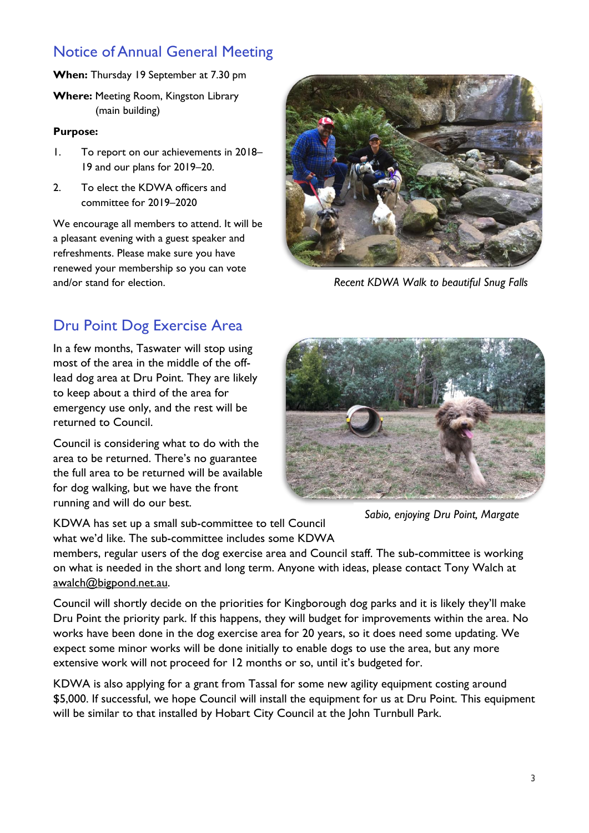## Notice of Annual General Meeting

**When:** Thursday 19 September at 7.30 pm

**Where:** Meeting Room, Kingston Library (main building)

#### **Purpose:**

- 1. To report on our achievements in 2018– 19 and our plans for 2019–20.
- 2. To elect the KDWA officers and committee for 2019–2020

We encourage all members to attend. It will be a pleasant evening with a guest speaker and refreshments. Please make sure you have renewed your membership so you can vote and/or stand for election.



*Recent KDWA Walk to beautiful Snug Falls*

## Dru Point Dog Exercise Area

In a few months, Taswater will stop using most of the area in the middle of the offlead dog area at Dru Point. They are likely to keep about a third of the area for emergency use only, and the rest will be returned to Council.

Council is considering what to do with the area to be returned. There's no guarantee the full area to be returned will be available for dog walking, but we have the front running and will do our best.



*Sabio, enjoying Dru Point, Margate*

KDWA has set up a small sub-committee to tell Council what we'd like. The sub-committee includes some KDWA

members, regular users of the dog exercise area and Council staff. The sub-committee is working on what is needed in the short and long term. Anyone with ideas, please contact Tony Walch at [awalch@bigpond.net.au.](mailto:awalch@bigpond.net.au)

Council will shortly decide on the priorities for Kingborough dog parks and it is likely they'll make Dru Point the priority park. If this happens, they will budget for improvements within the area. No works have been done in the dog exercise area for 20 years, so it does need some updating. We expect some minor works will be done initially to enable dogs to use the area, but any more extensive work will not proceed for 12 months or so, until it's budgeted for.

KDWA is also applying for a grant from Tassal for some new agility equipment costing around \$5,000. If successful, we hope Council will install the equipment for us at Dru Point. This equipment will be similar to that installed by Hobart City Council at the John Turnbull Park.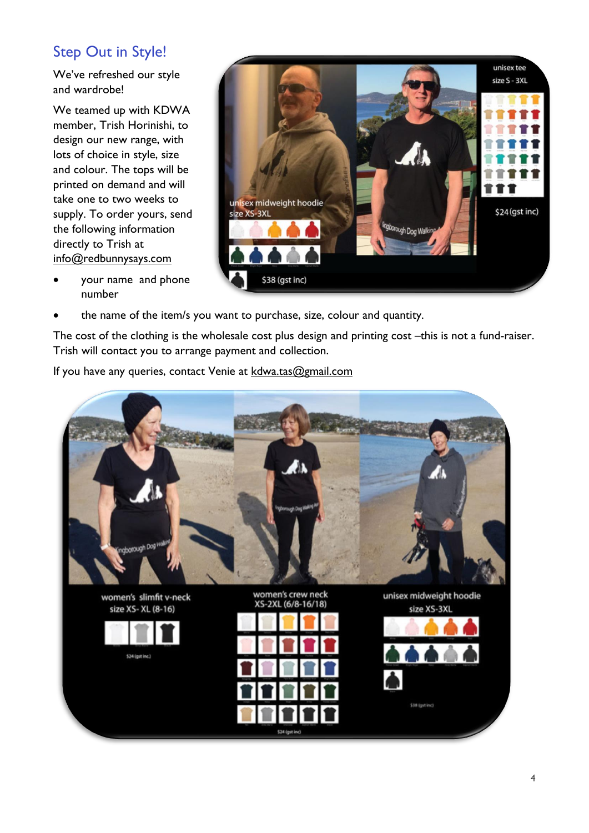## Step Out in Style!

We've refreshed our style and wardrobe!

We teamed up with KDWA member, Trish Horinishi, to design our new range, with lots of choice in style, size and colour. The tops will be printed on demand and will take one to two weeks to supply. To order yours, send the following information directly to Trish at [info@redbunnysays.com](mailto:info@redbunnysays.com)



- your name and phone number
- the name of the item/s you want to purchase, size, colour and quantity.

The cost of the clothing is the wholesale cost plus design and printing cost –this is not a fund-raiser. Trish will contact you to arrange payment and collection.

If you have any queries, contact Venie at [kdwa.tas@gmail.com](mailto:kdwa.tas@gmail.com)

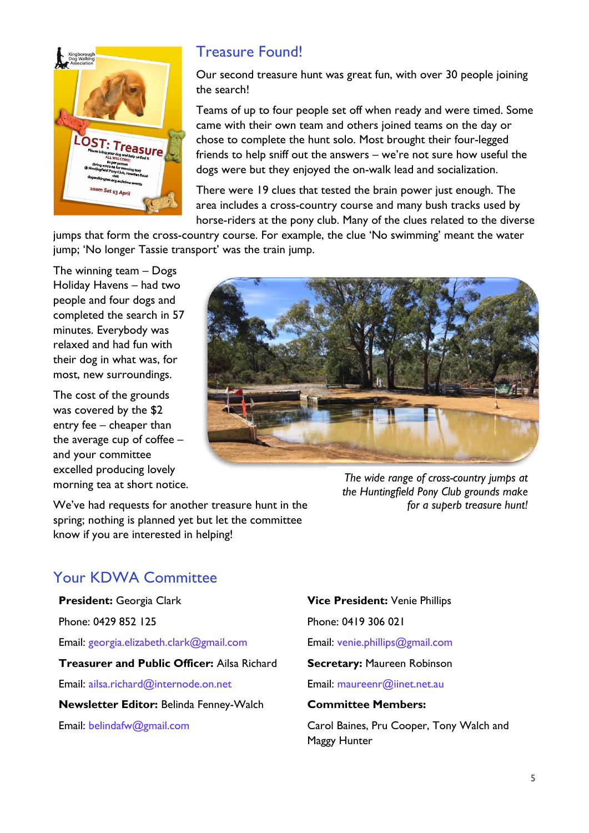

## Treasure Found!

Our second treasure hunt was great fun, with over 30 people joining the search!

Teams of up to four people set off when ready and were timed. Some came with their own team and others joined teams on the day or chose to complete the hunt solo. Most brought their four-legged friends to help sniff out the answers – we're not sure how useful the dogs were but they enjoyed the on-walk lead and socialization.

There were 19 clues that tested the brain power just enough. The area includes a cross-country course and many bush tracks used by horse-riders at the pony club. Many of the clues related to the diverse

jumps that form the cross-country course. For example, the clue 'No swimming' meant the water jump; 'No longer Tassie transport' was the train jump.

The winning team – Dogs Holiday Havens – had two people and four dogs and completed the search in 57 minutes. Everybody was relaxed and had fun with their dog in what was, for most, new surroundings.

The cost of the grounds was covered by the \$2 entry fee – cheaper than the average cup of coffee – and your committee excelled producing lovely morning tea at short notice.



We've had requests for another treasure hunt in the spring; nothing is planned yet but let the committee know if you are interested in helping!

## Your KDWA Committee

#### **President:** Georgia Clark

Phone: 0429 852 125

Email: georgia.elizabeth.clark@gmail.com

**Treasurer and Public Officer:** Ailsa Richard

Email: ailsa.richard@internode.on.net

**Newsletter Editor:** Belinda Fenney-Walch

Email: belindafw@gmail.com

**Vice President:** Venie Phillips

Phone: 0419 306 021

Email: venie.phillips@gmail.com

#### **Secretary:** Maureen Robinson

Email: maureenr@iinet.net.au

#### **Committee Members:**

Carol Baines, Pru Cooper, Tony Walch and Maggy Hunter

*the Huntingfield Pony Club grounds make*

*for a superb treasure hunt!*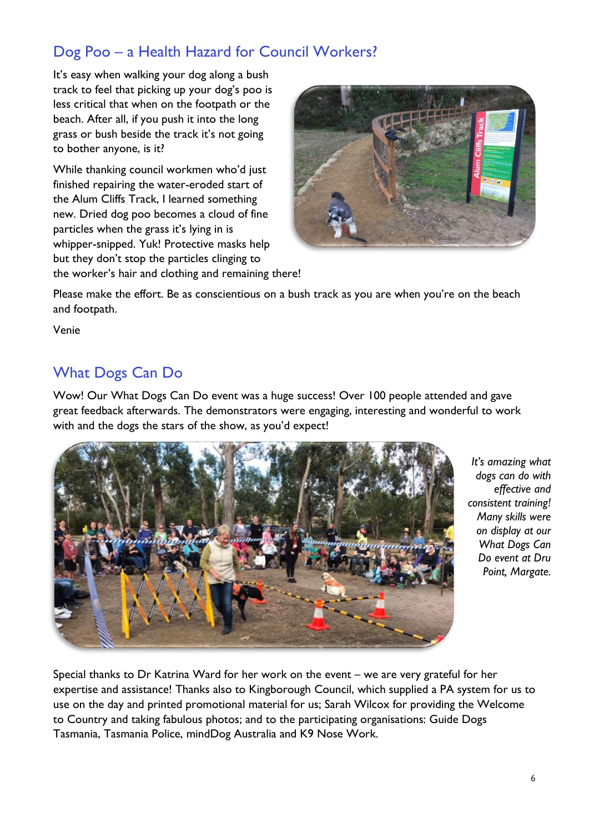## Dog Poo – a Health Hazard for Council Workers?

It's easy when walking your dog along a bush track to feel that picking up your dog's poo is less critical that when on the footpath or the beach. After all, if you push it into the long grass or bush beside the track it's not going to bother anyone, is it?

While thanking council workmen who'd just finished repairing the water-eroded start of the Alum Cliffs Track, I learned something new. Dried dog poo becomes a cloud of fine particles when the grass it's lying in is whipper-snipped. Yuk! Protective masks help but they don't stop the particles clinging to the worker's hair and clothing and remaining there!



Please make the effort. Be as conscientious on a bush track as you are when you're on the beach and footpath.

Venie

## What Dogs Can Do

Wow! Our What Dogs Can Do event was a huge success! Over 100 people attended and gave great feedback afterwards. The demonstrators were engaging, interesting and wonderful to work with and the dogs the stars of the show, as you'd expect!



*It's amazing what dogs can do with effective and consistent training! Many skills were on display at our What Dogs Can Do event at Dru Point, Margate.*

Special thanks to Dr Katrina Ward for her work on the event – we are very grateful for her expertise and assistance! Thanks also to Kingborough Council, which supplied a PA system for us to use on the day and printed promotional material for us; Sarah Wilcox for providing the Welcome to Country and taking fabulous photos; and to the participating organisations: Guide Dogs Tasmania, Tasmania Police, mindDog Australia and K9 Nose Work.